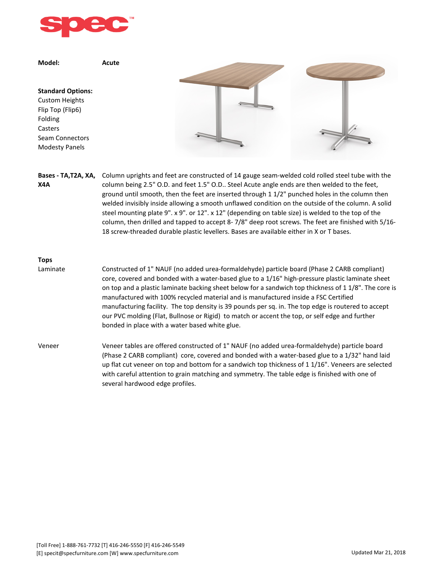

**Model: Acute Standard Options:** Custom Heights Flip Top (Flip6) Folding Casters Seam Connectors Modesty Panels Bases - TA, T2A, XA, Column uprights and feet are constructed of 14 gauge seam-welded cold rolled steel tube with the **X4A** column being 2.5" O.D. and feet 1.5" O.D.. Steel Acute angle ends are then welded to the feet, ground until smooth, then the feet are inserted through 1 1/2" punched holes in the column then welded invisibly inside allowing a smooth unflawed condition on the outside of the column. A solid

steel mounting plate 9". x 9". or 12". x 12" (depending on table size) is welded to the top of the column, then drilled and tapped to accept 8- 7/8" deep root screws. The feet are finished with 5/16- 18 screw-threaded durable plastic levellers. Bases are available either in X or T bases.

## **Tops**

- Laminate Constructed of 1" NAUF (no added urea-formaldehyde) particle board (Phase 2 CARB compliant) core, covered and bonded with a water-based glue to a 1/16" high-pressure plastic laminate sheet on top and a plastic laminate backing sheet below for a sandwich top thickness of 1 1/8". The core is manufactured with 100% recycled material and is manufactured inside a FSC Certified manufacturing facility. The top density is 39 pounds per sq. in. The top edge is routered to accept our PVC molding (Flat, Bullnose or Rigid) to match or accent the top, or self edge and further bonded in place with a water based white glue.
- Veneer Veneer tables are offered constructed of 1" NAUF (no added urea-formaldehyde) particle board (Phase 2 CARB compliant) core, covered and bonded with a water-based glue to a 1/32" hand laid up flat cut veneer on top and bottom for a sandwich top thickness of 1 1/16". Veneers are selected with careful attention to grain matching and symmetry. The table edge is finished with one of several hardwood edge profiles.